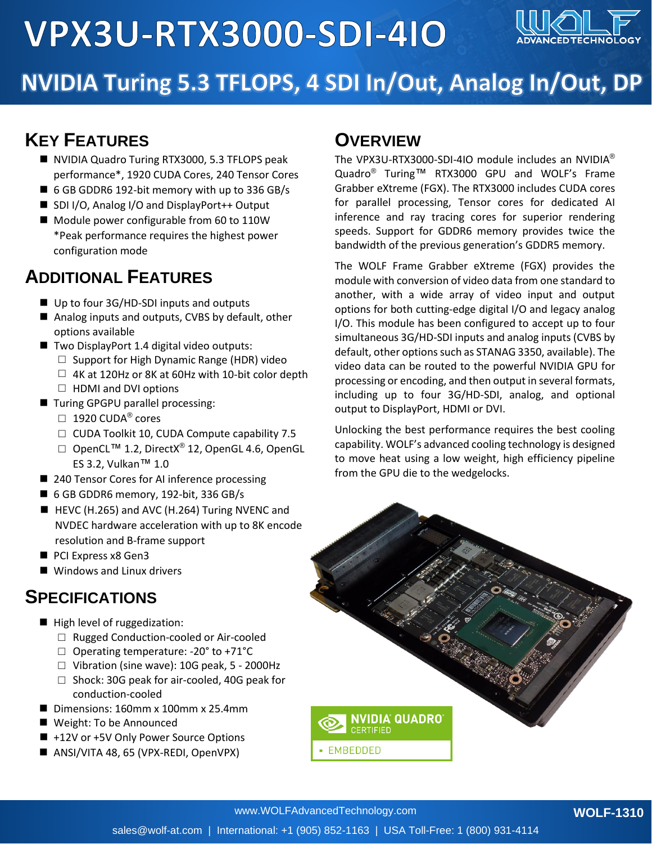

# NVIDIA Turing 5.3 TFLOPS, 4 SDI In/Out, Analog In/Out, DP

#### **KEY FEATURES**

- NVIDIA Quadro Turing RTX3000, 5.3 TFLOPS peak performance\*, 1920 CUDA Cores, 240 Tensor Cores
- 6 GB GDDR6 192-bit memory with up to 336 GB/s
- SDI I/O, Analog I/O and DisplayPort++ Output
- Module power configurable from 60 to 110W \*Peak performance requires the highest power configuration mode

#### **ADDITIONAL FEATURES**

- Up to four 3G/HD-SDI inputs and outputs
- Analog inputs and outputs, CVBS by default, other options available
- Two DisplayPort 1.4 digital video outputs:
	- $\Box$  Support for High Dynamic Range (HDR) video
	- $\Box$  4K at 120Hz or 8K at 60Hz with 10-bit color depth  $\Box$  HDMI and DVI options
- Turing GPGPU parallel processing:
	- $\Box$  1920 CUDA® cores
	- □ CUDA Toolkit 10, CUDA Compute capability 7.5
	- □ OpenCL<sup>TM</sup> 1.2, DirectX<sup>®</sup> 12, OpenGL 4.6, OpenGL ES 3.2, Vulkan™ 1.0
- 240 Tensor Cores for AI inference processing
- 6 GB GDDR6 memory, 192-bit, 336 GB/s
- HEVC (H.265) and AVC (H.264) Turing NVENC and NVDEC hardware acceleration with up to 8K encode resolution and B-frame support
- PCI Express x8 Gen3
- Windows and Linux drivers

#### **SPECIFICATIONS**

- High level of ruggedization:
	- □ Rugged Conduction-cooled or Air-cooled
	- $\Box$  Operating temperature: -20° to +71°C
	- $\Box$  Vibration (sine wave): 10G peak, 5 2000Hz
	- □ Shock: 30G peak for air-cooled, 40G peak for conduction-cooled
- Dimensions: 160mm x 100mm x 25.4mm
- Weight: To be Announced
- +12V or +5V Only Power Source Options
- ANSI/VITA 48, 65 (VPX-REDI, OpenVPX)

#### **OVERVIEW**

The VPX3U-RTX3000-SDI-4IO module includes an NVIDIA® Quadro® Turing™ RTX3000 GPU and WOLF's Frame Grabber eXtreme (FGX). The RTX3000 includes CUDA cores for parallel processing, Tensor cores for dedicated AI inference and ray tracing cores for superior rendering speeds. Support for GDDR6 memory provides twice the bandwidth of the previous generation's GDDR5 memory.

The WOLF Frame Grabber eXtreme (FGX) provides the module with conversion of video data from one standard to another, with a wide array of video input and output options for both cutting-edge digital I/O and legacy analog I/O. This module has been configured to accept up to four simultaneous 3G/HD-SDI inputs and analog inputs (CVBS by default, other options such as STANAG 3350, available). The video data can be routed to the powerful NVIDIA GPU for processing or encoding, and then output in several formats, including up to four 3G/HD-SDI, analog, and optional output to DisplayPort, HDMI or DVI.

Unlocking the best performance requires the best cooling capability. WOLF's advanced cooling technology is designed to move heat using a low weight, high efficiency pipeline from the GPU die to the wedgelocks.

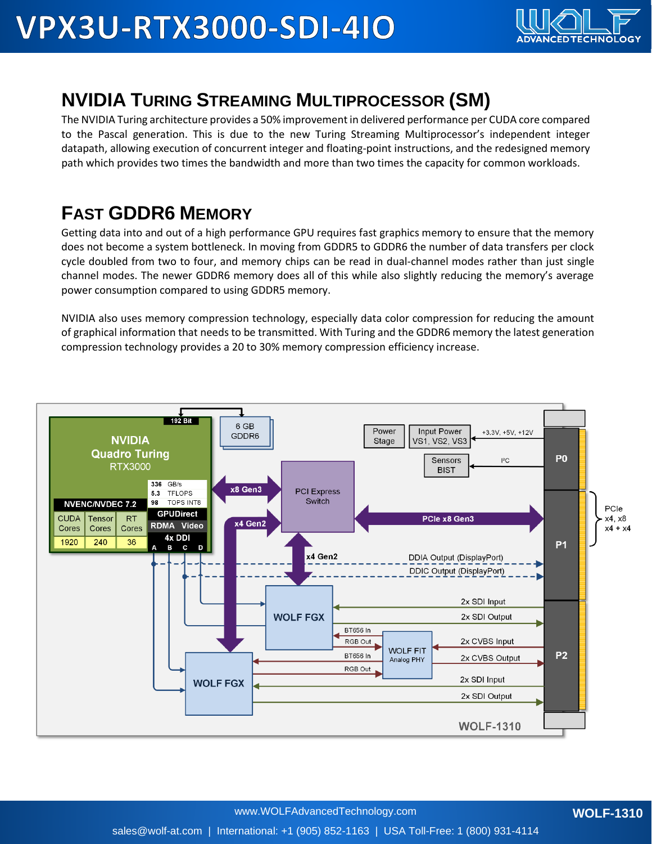

### **NVIDIA TURING STREAMING MULTIPROCESSOR (SM)**

The NVIDIA Turing architecture provides a 50% improvement in delivered performance per CUDA core compared to the Pascal generation. This is due to the new Turing Streaming Multiprocessor's independent integer datapath, allowing execution of concurrent integer and floating-point instructions, and the redesigned memory path which provides two times the bandwidth and more than two times the capacity for common workloads.

## **FAST GDDR6 MEMORY**

Getting data into and out of a high performance GPU requires fast graphics memory to ensure that the memory does not become a system bottleneck. In moving from GDDR5 to GDDR6 the number of data transfers per clock cycle doubled from two to four, and memory chips can be read in dual-channel modes rather than just single channel modes. The newer GDDR6 memory does all of this while also slightly reducing the memory's average power consumption compared to using GDDR5 memory.

NVIDIA also uses memory compression technology, especially data color compression for reducing the amount of graphical information that needs to be transmitted. With Turing and the GDDR6 memory the latest generation compression technology provides a 20 to 30% memory compression efficiency increase.

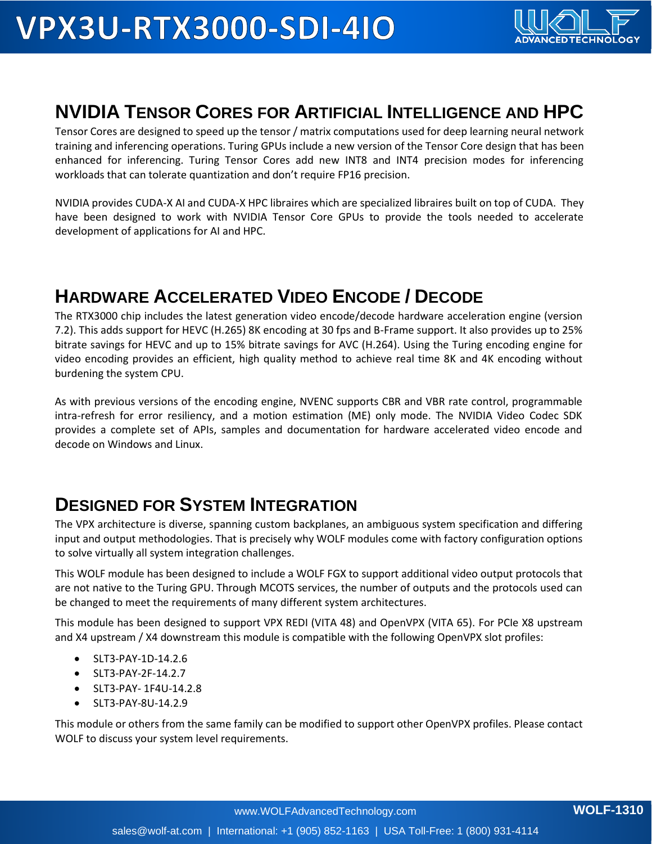

#### **NVIDIA TENSOR CORES FOR ARTIFICIAL INTELLIGENCE AND HPC**

Tensor Cores are designed to speed up the tensor / matrix computations used for deep learning neural network training and inferencing operations. Turing GPUs include a new version of the Tensor Core design that has been enhanced for inferencing. Turing Tensor Cores add new INT8 and INT4 precision modes for inferencing workloads that can tolerate quantization and don't require FP16 precision.

NVIDIA provides CUDA-X AI and CUDA-X HPC libraires which are specialized libraires built on top of CUDA. They have been designed to work with NVIDIA Tensor Core GPUs to provide the tools needed to accelerate development of applications for AI and HPC.

### **HARDWARE ACCELERATED VIDEO ENCODE / DECODE**

The RTX3000 chip includes the latest generation video encode/decode hardware acceleration engine (version 7.2). This adds support for HEVC (H.265) 8K encoding at 30 fps and B-Frame support. It also provides up to 25% bitrate savings for HEVC and up to 15% bitrate savings for AVC (H.264). Using the Turing encoding engine for video encoding provides an efficient, high quality method to achieve real time 8K and 4K encoding without burdening the system CPU.

As with previous versions of the encoding engine, NVENC supports CBR and VBR rate control, programmable intra-refresh for error resiliency, and a motion estimation (ME) only mode. The NVIDIA Video Codec SDK provides a complete set of APIs, samples and documentation for hardware accelerated video encode and decode on Windows and Linux.

#### **DESIGNED FOR SYSTEM INTEGRATION**

The VPX architecture is diverse, spanning custom backplanes, an ambiguous system specification and differing input and output methodologies. That is precisely why WOLF modules come with factory configuration options to solve virtually all system integration challenges.

This WOLF module has been designed to include a WOLF FGX to support additional video output protocols that are not native to the Turing GPU. Through MCOTS services, the number of outputs and the protocols used can be changed to meet the requirements of many different system architectures.

This module has been designed to support VPX REDI (VITA 48) and OpenVPX (VITA 65). For PCIe X8 upstream and X4 upstream / X4 downstream this module is compatible with the following OpenVPX slot profiles:

- SLT3-PAY-1D-14.2.6
- SLT3-PAY-2F-14.2.7
- SLT3-PAY- 1F4U-14.2.8
- SLT3-PAY-8U-14.2.9

This module or others from the same family can be modified to support other OpenVPX profiles. Please contact WOLF to discuss your system level requirements.